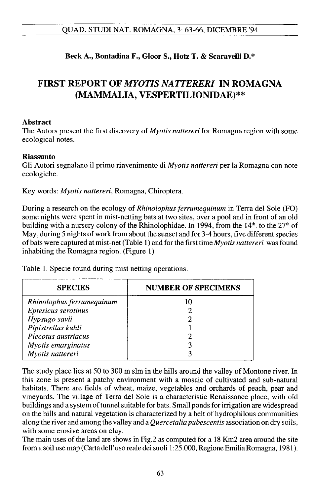## QUAD. STUDI NAT. ROMAGNA, 3: 63-66, DICEMBRE '94

## Beck A., Bontadina F., Gloor S., Hotz T. & Scaravelli D.\*

# FIRST REPORT OF *MYOTIS NATTERERI* IN ROMAGNA (MAMMALIA, VESPERTILIONIDAE)\*\*

#### Abstract

The Autors present the first discovery of *Myotis nattereri* for Romagna region with some ecological notes.

#### Riassunto

Gli Autori segnalano il primo rinvenimento di *Myotis nattereri* per la Romagna con note ecologiche.

Key words: *Myotis nattereri,* Romagna, Chiroptera.

During a research on the ecology of *Rhinolophus ferrumequinum* in Terra del Sole (FO) some nights were spent in mist-netting bats at two sites, over a pool and in front of an old building with a nursery colony of the Rhinolophidae. In 1994, from the  $14<sup>th</sup>$ , to the  $27<sup>th</sup>$  of May, during 5 nights of work from about the sunset and for 3-4 hours, five different species ofbats were captured at mist-net (Table 1) and for the first time *Myotis nattereri* was found inhabiting the Romagna region. (Figure 1)

| <b>SPECIES</b>            | <b>NUMBER OF SPECIMENS</b> |
|---------------------------|----------------------------|
| Rhinolophus ferrumequinum |                            |
| Eptesicus serotinus       |                            |
| Hypsugo savii             |                            |
| Pipistrellus kuhli        |                            |
| Plecotus austriacus       |                            |
| Myotis emarginatus        |                            |
| Myotis nattereri          |                            |

Table I. Specie found during mist netting operations.

The study place lies at 50 to 300 m slm in the hills around the valley of Montone river. In this zone is present a patchy environment with a mosaic of cultivated and sub-natural habitats. There are fields of wheat, maize, vegetables and orchards of peach, pear and vineyards. The village of Terra del Sole is a characteristic Renaissance place, with old buildings and a system of tunnel suitable for bats. Small ponds for irrigation are widespread on the hills and natural vegetation is characterized by a belt of hydrophilous communities along the river and among the valley and a *Quercetalia pubescentis* association on dry soils, with some erosive areas on clay.

The main uses of the land are shows in Fig.2 as computed for a 18 Km2 area around the site from a soil use map (Carta dell'uso reale dei suoli 1:25.000,Regione Emilia Romagna, 1981).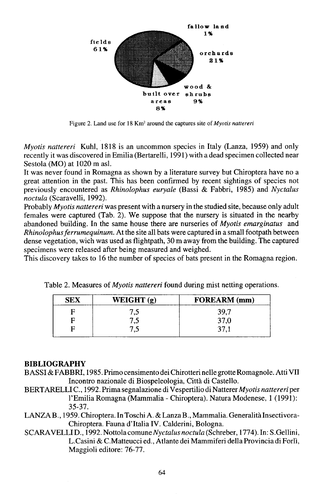

Figure 2. Land use for 18 Km2 around the captures site of *Myotis nattereri*

*Myotis nattereri* Kuhl, 1818 is an uncommon species in Italy (Lanza, 1959) and only recently it was discovered in Emilia (Bertarelli, 1991) with a dead specimen collected near Sestola (MO) at 1020 m asl.

It was never found in Romagna as shown by a literature survey but Chiroptera have no a great attention in the past. This has been confirmed by recent sightings of species not previously encountered as *Rhinolophus euryale* (Bassi & Fabbri, 1985) and *Nyctalus noctula* (Scaravelli, 1992).

Probably *Myotis nattereri* was present with a nursery in the studied site, because only adult females were captured (Tab. 2). We suppose that the nursery is situated in the nearby abandoned building. In the same house there are nurseries of *Myotis emarginatus* and *Rhinolophusferrumequinum.* At the site all bats were captured in a small footpath between dense vegetation, wich was used as flightpath, 30 m away from the building. The captured specimens were released after being measured and weighed.

This discovery takes to 16 the number of species of bats present in the Romagna region.

| SEX | WEIGHT $(g)$ | <b>FOREARM</b> (mm) |
|-----|--------------|---------------------|
|     | ن ،          | 39,7                |
|     | ن ۽          |                     |
|     | ن.           | <b>07</b>           |

Table 2. Measures of *Myotis nattereri* found during mist netting operations.

### BIBLIOGRAPHY

- BASSI &FABBRI, 1985. Primo censimento dei Chirotteri nelle grotte Romagnole. Atti VII Incontro nazionale di Biospeleologia, Citta di Castello.
- BERTARELLI c., 1992. Prima segnalazione di Vespertilio di Natterer *Myotis nattereri* per I'Emilia Romagna (Mammalia - Chiroptera). Natura Modenese, 1 (1991): 35-37.
- LANZAB., 1959. Chiroptera. In Toschi A. & Lanza B., Mammalia. Generalita Insectivora-Chiroptera. Fauna d'Italia IV. Calderini, Bologna.
- SCARAVELLI D., 1992. Nottola *comuneNyctalus noctula* (Schreber, 1774). In: S.Gellini, L.Casini & C.Matteucci ed., Atlante dei Mammiferi della Provincia di Forli, Maggioli editore: 76-77.